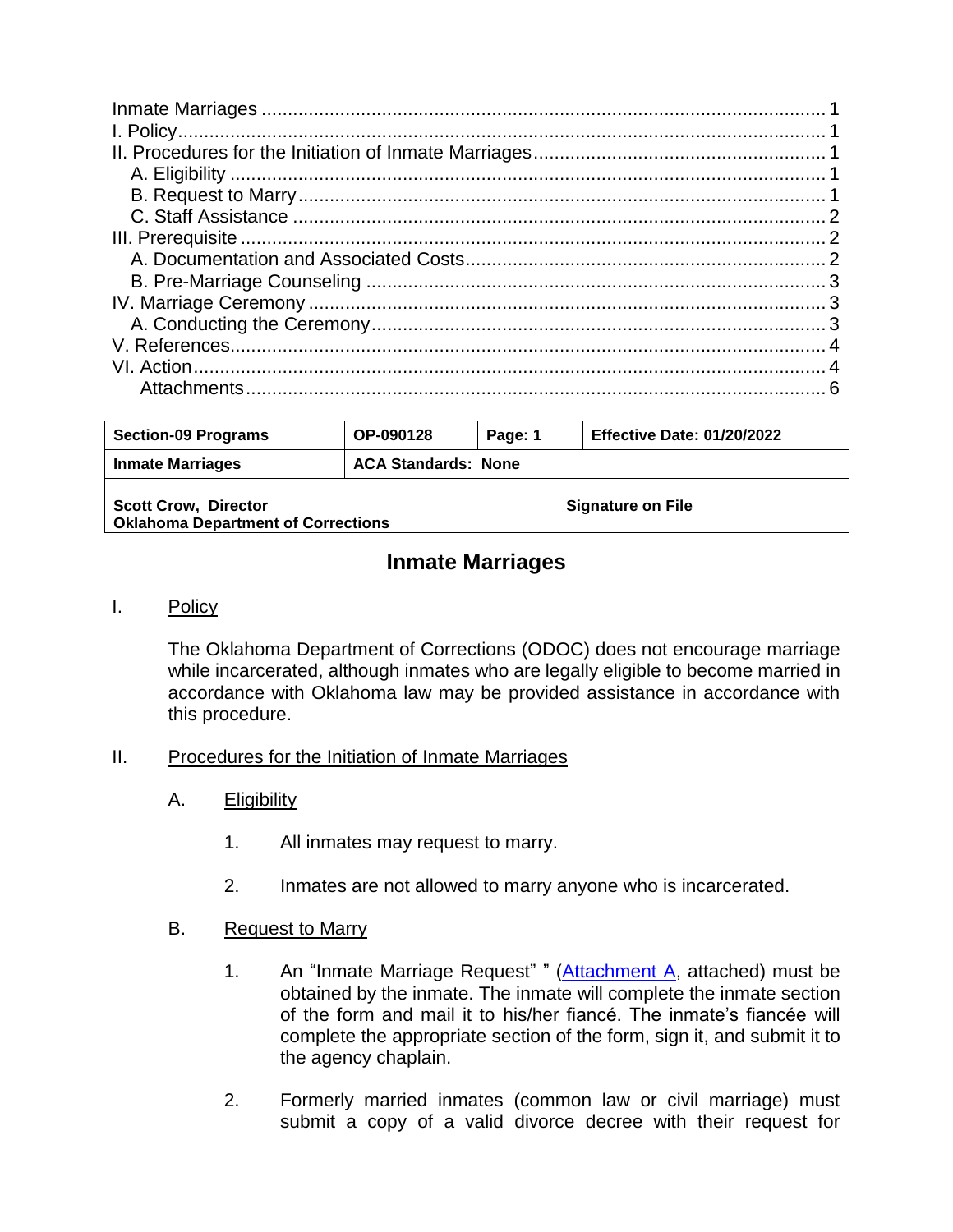| <b>Section-09 Programs</b>                                               | OP-090128                  | Page: 1 | <b>Effective Date: 01/20/2022</b> |  |
|--------------------------------------------------------------------------|----------------------------|---------|-----------------------------------|--|
| <b>Inmate Marriages</b>                                                  | <b>ACA Standards: None</b> |         |                                   |  |
| <b>Scott Crow, Director</b><br><b>Oklahoma Department of Corrections</b> |                            |         | <b>Signature on File</b>          |  |

# **Inmate Marriages**

#### <span id="page-0-1"></span><span id="page-0-0"></span>I. Policy

The Oklahoma Department of Corrections (ODOC) does not encourage marriage while incarcerated, although inmates who are legally eligible to become married in accordance with Oklahoma law may be provided assistance in accordance with this procedure.

#### <span id="page-0-2"></span>II. Procedures for the Initiation of Inmate Marriages

- <span id="page-0-3"></span>A. **Eligibility** 
	- 1. All inmates may request to marry.
	- 2. Inmates are not allowed to marry anyone who is incarcerated.

#### <span id="page-0-4"></span>B. Request to Marry

- 1. An "Inmate Marriage Request" " [\(Attachment A,](https://oklahoma.gov/content/dam/ok/en/doc/documents/policy/section-09/090128aa.pdf) attached) must be obtained by the inmate. The inmate will complete the inmate section of the form and mail it to his/her fiancé. The inmate's fiancée will complete the appropriate section of the form, sign it, and submit it to the agency chaplain.
- 2. Formerly married inmates (common law or civil marriage) must submit a copy of a valid divorce decree with their request for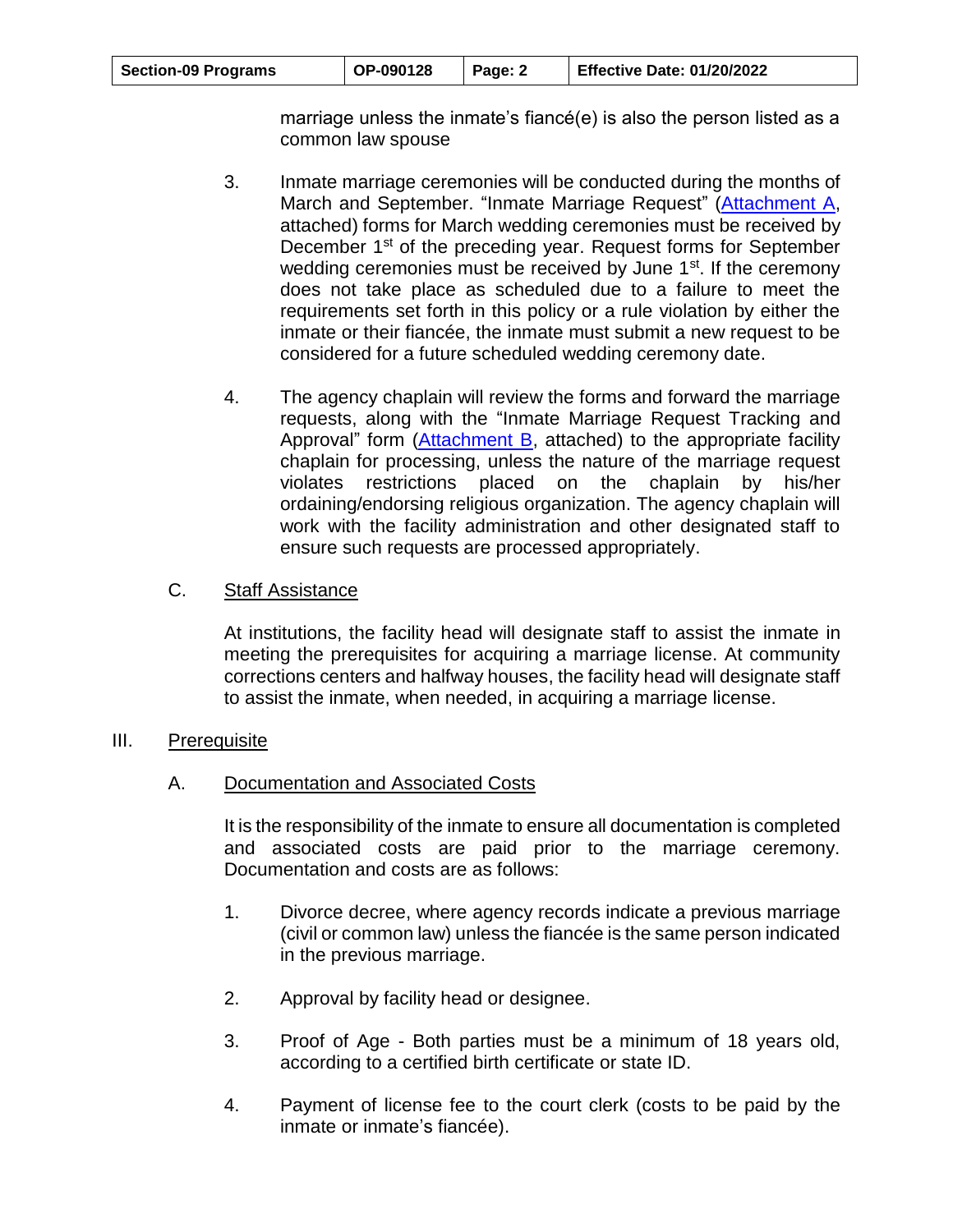| <b>Section-09 Programs</b> | OP-090128 | Page: 2 | <b>Effective Date: 01/20/2022</b> |
|----------------------------|-----------|---------|-----------------------------------|
|----------------------------|-----------|---------|-----------------------------------|

marriage unless the inmate's fiancé(e) is also the person listed as a common law spouse

- 3. Inmate marriage ceremonies will be conducted during the months of March and September. "Inmate Marriage Request" [\(Attachment A,](https://oklahoma.gov/content/dam/ok/en/doc/documents/policy/section-09/090128aa.pdf) attached) forms for March wedding ceremonies must be received by December 1<sup>st</sup> of the preceding year. Request forms for September wedding ceremonies must be received by June 1<sup>st</sup>. If the ceremony does not take place as scheduled due to a failure to meet the requirements set forth in this policy or a rule violation by either the inmate or their fiancée, the inmate must submit a new request to be considered for a future scheduled wedding ceremony date.
- 4. The agency chaplain will review the forms and forward the marriage requests, along with the "Inmate Marriage Request Tracking and Approval" form [\(Attachment B,](https://oklahoma.gov/content/dam/ok/en/doc/documents/policy/section-09/090128ab.pdf) attached) to the appropriate facility chaplain for processing, unless the nature of the marriage request violates restrictions placed on the chaplain by his/her ordaining/endorsing religious organization. The agency chaplain will work with the facility administration and other designated staff to ensure such requests are processed appropriately.

#### <span id="page-1-0"></span>C. Staff Assistance

At institutions, the facility head will designate staff to assist the inmate in meeting the prerequisites for acquiring a marriage license. At community corrections centers and halfway houses, the facility head will designate staff to assist the inmate, when needed, in acquiring a marriage license.

#### <span id="page-1-1"></span>III. Prerequisite

#### <span id="page-1-2"></span>A. Documentation and Associated Costs

It is the responsibility of the inmate to ensure all documentation is completed and associated costs are paid prior to the marriage ceremony. Documentation and costs are as follows:

- 1. Divorce decree, where agency records indicate a previous marriage (civil or common law) unless the fiancée is the same person indicated in the previous marriage.
- 2. Approval by facility head or designee.
- 3. Proof of Age Both parties must be a minimum of 18 years old, according to a certified birth certificate or state ID.
- 4. Payment of license fee to the court clerk (costs to be paid by the inmate or inmate's fiancée).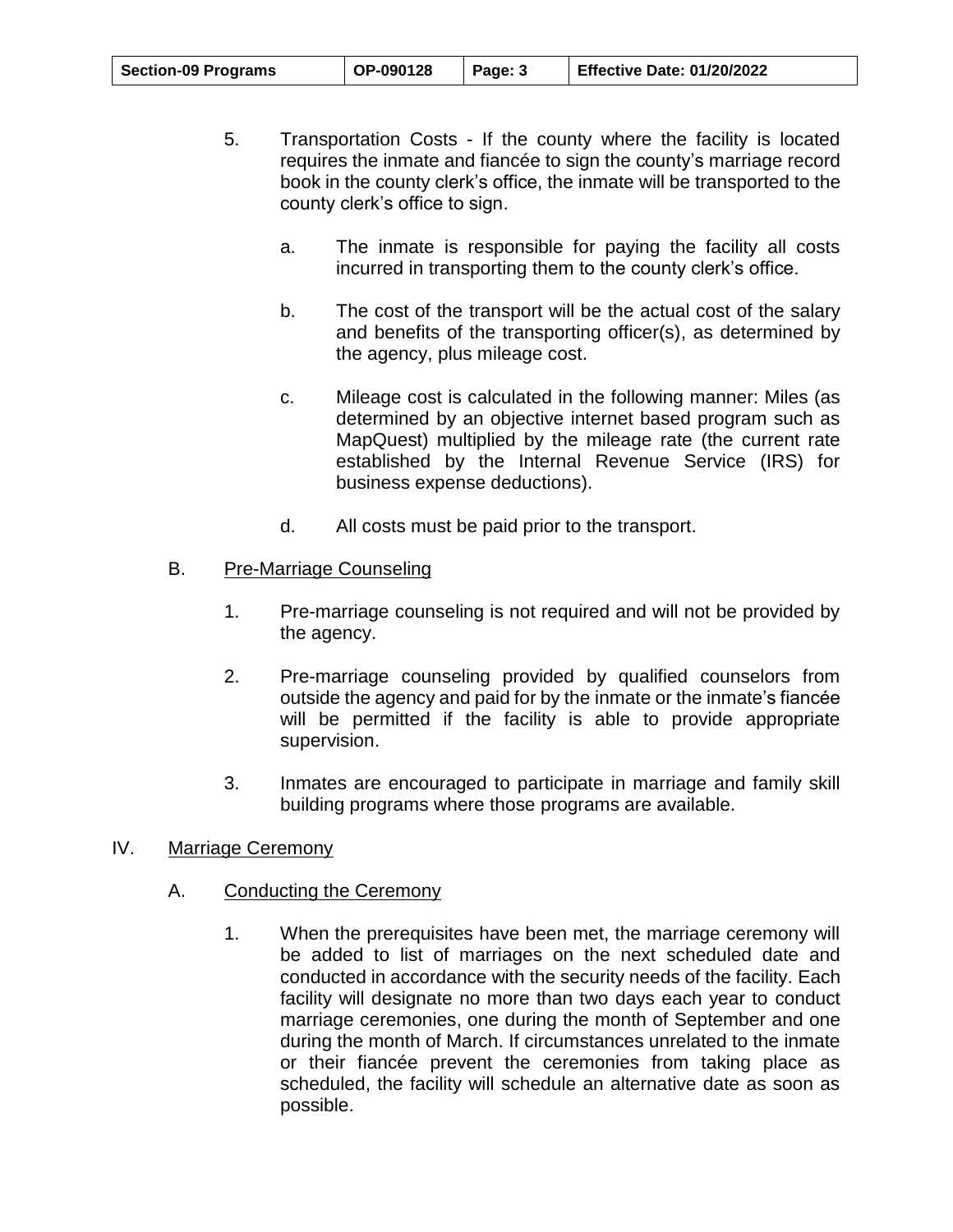| <b>Section-09 Programs</b> | OP-090128 | Page: 3 | <b>Effective Date: 01/20/2022</b> |
|----------------------------|-----------|---------|-----------------------------------|
|----------------------------|-----------|---------|-----------------------------------|

- 5. Transportation Costs If the county where the facility is located requires the inmate and fiancée to sign the county's marriage record book in the county clerk's office, the inmate will be transported to the county clerk's office to sign.
	- a. The inmate is responsible for paying the facility all costs incurred in transporting them to the county clerk's office.
	- b. The cost of the transport will be the actual cost of the salary and benefits of the transporting officer(s), as determined by the agency, plus mileage cost.
	- c. Mileage cost is calculated in the following manner: Miles (as determined by an objective internet based program such as MapQuest) multiplied by the mileage rate (the current rate established by the Internal Revenue Service (IRS) for business expense deductions).
	- d. All costs must be paid prior to the transport.

### <span id="page-2-0"></span>B. Pre-Marriage Counseling

- 1. Pre-marriage counseling is not required and will not be provided by the agency.
- 2. Pre-marriage counseling provided by qualified counselors from outside the agency and paid for by the inmate or the inmate's fiancée will be permitted if the facility is able to provide appropriate supervision.
- 3. Inmates are encouraged to participate in marriage and family skill building programs where those programs are available.

#### <span id="page-2-1"></span>IV. Marriage Ceremony

## <span id="page-2-2"></span>A. Conducting the Ceremony

1. When the prerequisites have been met, the marriage ceremony will be added to list of marriages on the next scheduled date and conducted in accordance with the security needs of the facility. Each facility will designate no more than two days each year to conduct marriage ceremonies, one during the month of September and one during the month of March. If circumstances unrelated to the inmate or their fiancée prevent the ceremonies from taking place as scheduled, the facility will schedule an alternative date as soon as possible.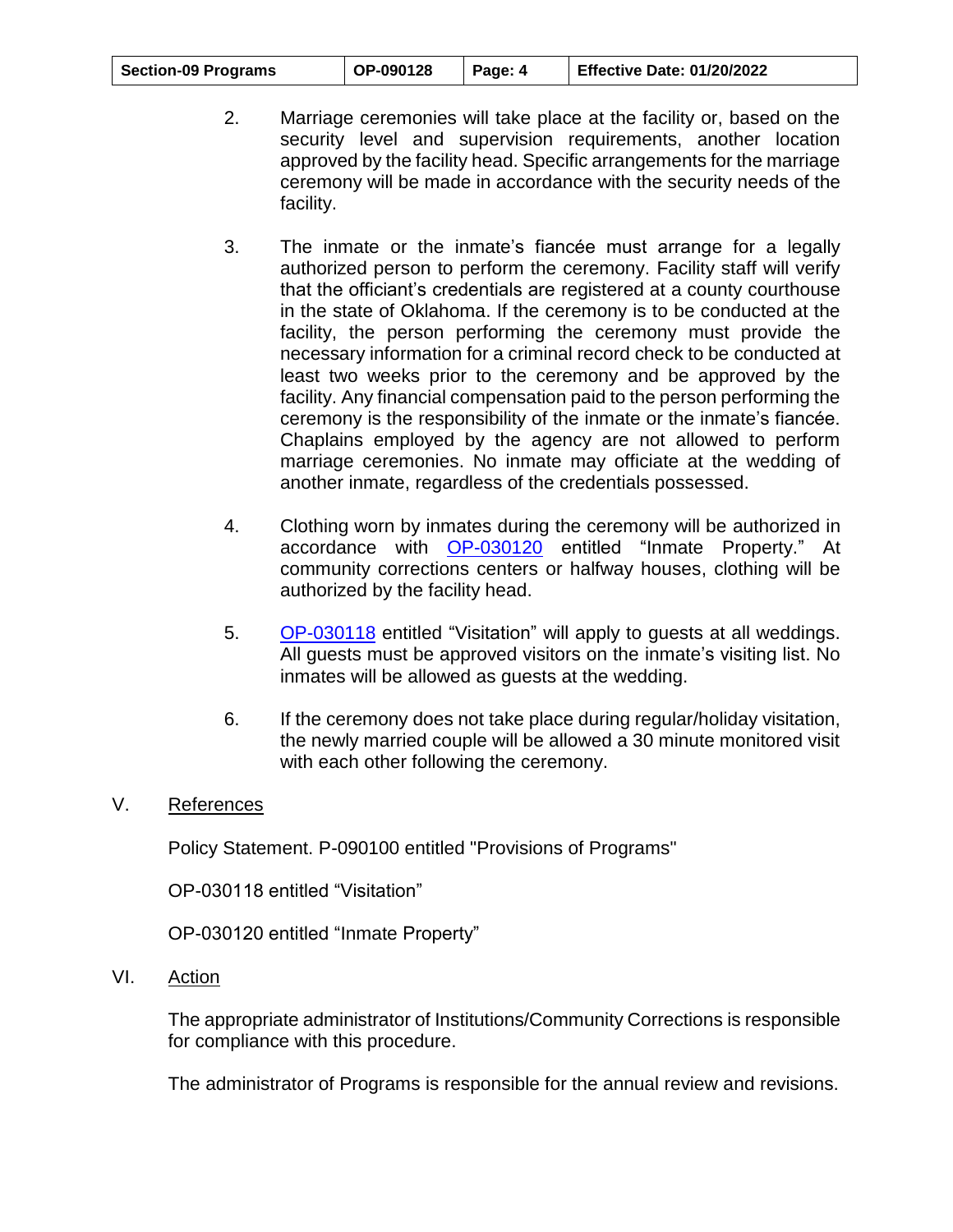| <b>Section-09 Programs</b> | OP-090128 | Page: 4 | Effective Date: 01/20/2022 |
|----------------------------|-----------|---------|----------------------------|
|----------------------------|-----------|---------|----------------------------|

- 2. Marriage ceremonies will take place at the facility or, based on the security level and supervision requirements, another location approved by the facility head. Specific arrangements for the marriage ceremony will be made in accordance with the security needs of the facility.
- 3. The inmate or the inmate's fiancée must arrange for a legally authorized person to perform the ceremony. Facility staff will verify that the officiant's credentials are registered at a county courthouse in the state of Oklahoma. If the ceremony is to be conducted at the facility, the person performing the ceremony must provide the necessary information for a criminal record check to be conducted at least two weeks prior to the ceremony and be approved by the facility. Any financial compensation paid to the person performing the ceremony is the responsibility of the inmate or the inmate's fiancée. Chaplains employed by the agency are not allowed to perform marriage ceremonies. No inmate may officiate at the wedding of another inmate, regardless of the credentials possessed.
- 4. Clothing worn by inmates during the ceremony will be authorized in accordance with [OP-030120](https://oklahoma.gov/content/dam/ok/en/doc/documents/policy/section-03/op030120.pdf) entitled "Inmate Property." At community corrections centers or halfway houses, clothing will be authorized by the facility head.
- 5. [OP-030118](https://oklahoma.gov/content/dam/ok/en/doc/documents/policy/section-03/op030118.pdf) entitled "Visitation" will apply to guests at all weddings. All guests must be approved visitors on the inmate's visiting list. No inmates will be allowed as guests at the wedding.
- 6. If the ceremony does not take place during regular/holiday visitation, the newly married couple will be allowed a 30 minute monitored visit with each other following the ceremony.

#### <span id="page-3-0"></span>V. References

Policy Statement. P-090100 entitled "Provisions of Programs"

OP-030118 entitled "Visitation"

OP-030120 entitled "Inmate Property"

<span id="page-3-1"></span>VI. Action

The appropriate administrator of Institutions/Community Corrections is responsible for compliance with this procedure.

The administrator of Programs is responsible for the annual review and revisions.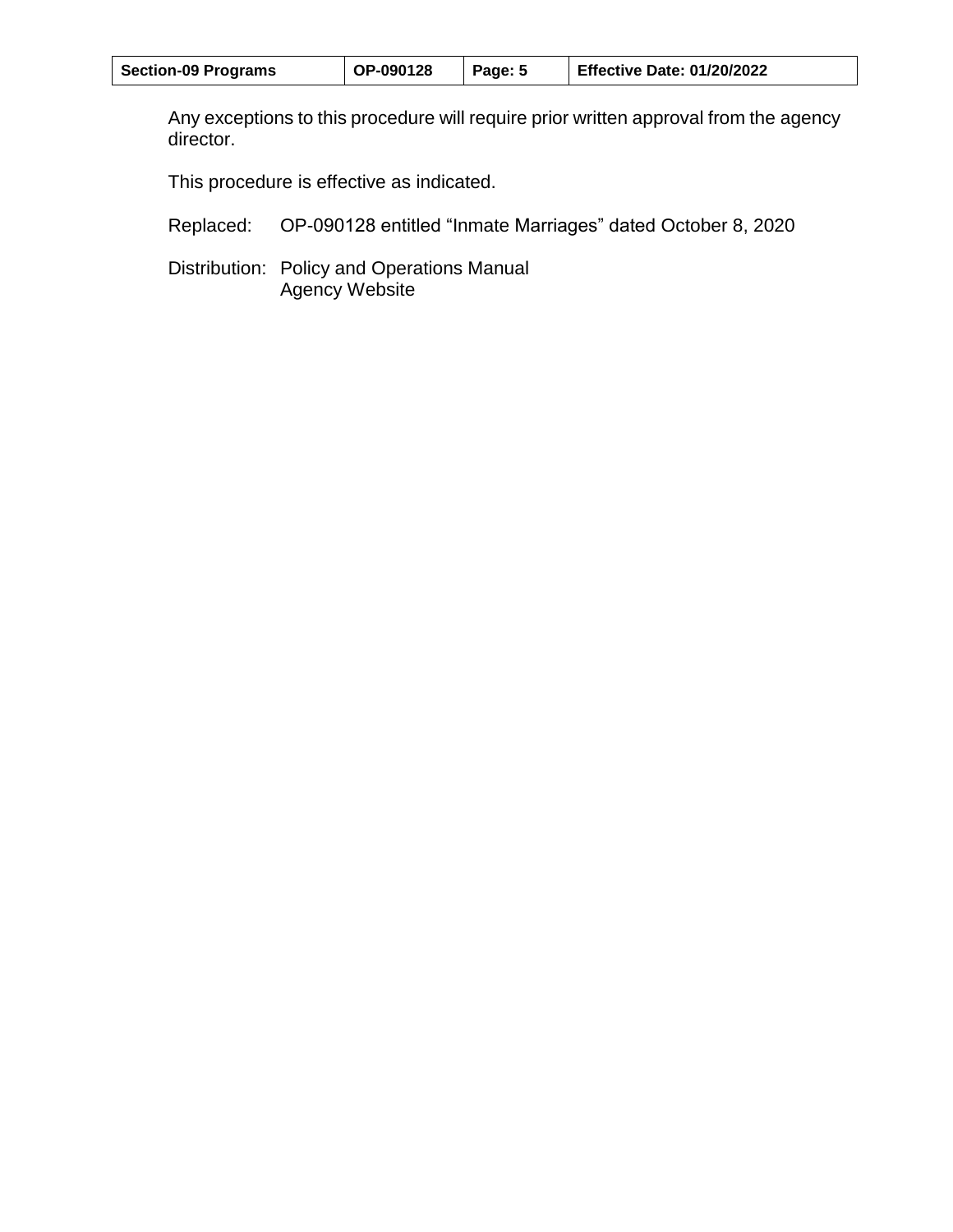| <b>Section-09 Programs</b> | OP-090128 | Page: 5 | <b>Effective Date: 01/20/2022</b> |
|----------------------------|-----------|---------|-----------------------------------|
|----------------------------|-----------|---------|-----------------------------------|

Any exceptions to this procedure will require prior written approval from the agency director.

This procedure is effective as indicated.

Replaced: OP-090128 entitled "Inmate Marriages" dated October 8, 2020

Distribution: Policy and Operations Manual Agency Website